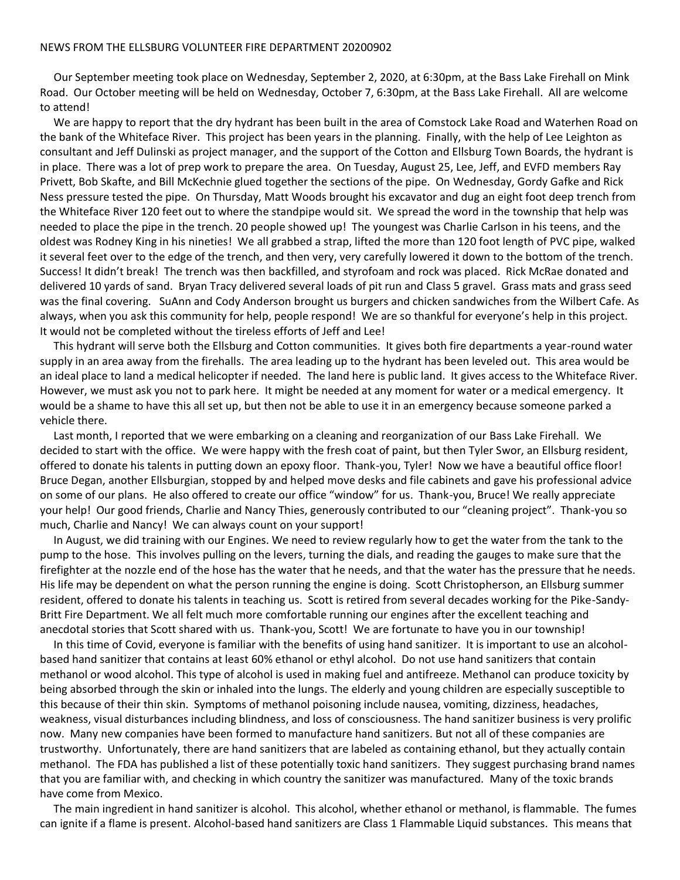## NEWS FROM THE ELLSBURG VOLUNTEER FIRE DEPARTMENT 20200902

 Our September meeting took place on Wednesday, September 2, 2020, at 6:30pm, at the Bass Lake Firehall on Mink Road. Our October meeting will be held on Wednesday, October 7, 6:30pm, at the Bass Lake Firehall. All are welcome to attend!

 We are happy to report that the dry hydrant has been built in the area of Comstock Lake Road and Waterhen Road on the bank of the Whiteface River. This project has been years in the planning. Finally, with the help of Lee Leighton as consultant and Jeff Dulinski as project manager, and the support of the Cotton and Ellsburg Town Boards, the hydrant is in place. There was a lot of prep work to prepare the area. On Tuesday, August 25, Lee, Jeff, and EVFD members Ray Privett, Bob Skafte, and Bill McKechnie glued together the sections of the pipe. On Wednesday, Gordy Gafke and Rick Ness pressure tested the pipe. On Thursday, Matt Woods brought his excavator and dug an eight foot deep trench from the Whiteface River 120 feet out to where the standpipe would sit. We spread the word in the township that help was needed to place the pipe in the trench. 20 people showed up! The youngest was Charlie Carlson in his teens, and the oldest was Rodney King in his nineties! We all grabbed a strap, lifted the more than 120 foot length of PVC pipe, walked it several feet over to the edge of the trench, and then very, very carefully lowered it down to the bottom of the trench. Success! It didn't break! The trench was then backfilled, and styrofoam and rock was placed. Rick McRae donated and delivered 10 yards of sand. Bryan Tracy delivered several loads of pit run and Class 5 gravel. Grass mats and grass seed was the final covering. SuAnn and Cody Anderson brought us burgers and chicken sandwiches from the Wilbert Cafe. As always, when you ask this community for help, people respond! We are so thankful for everyone's help in this project. It would not be completed without the tireless efforts of Jeff and Lee!

 This hydrant will serve both the Ellsburg and Cotton communities. It gives both fire departments a year-round water supply in an area away from the firehalls. The area leading up to the hydrant has been leveled out. This area would be an ideal place to land a medical helicopter if needed. The land here is public land. It gives access to the Whiteface River. However, we must ask you not to park here. It might be needed at any moment for water or a medical emergency. It would be a shame to have this all set up, but then not be able to use it in an emergency because someone parked a vehicle there.

 Last month, I reported that we were embarking on a cleaning and reorganization of our Bass Lake Firehall. We decided to start with the office. We were happy with the fresh coat of paint, but then Tyler Swor, an Ellsburg resident, offered to donate his talents in putting down an epoxy floor. Thank-you, Tyler! Now we have a beautiful office floor! Bruce Degan, another Ellsburgian, stopped by and helped move desks and file cabinets and gave his professional advice on some of our plans. He also offered to create our office "window" for us. Thank-you, Bruce! We really appreciate your help! Our good friends, Charlie and Nancy Thies, generously contributed to our "cleaning project". Thank-you so much, Charlie and Nancy! We can always count on your support!

 In August, we did training with our Engines. We need to review regularly how to get the water from the tank to the pump to the hose. This involves pulling on the levers, turning the dials, and reading the gauges to make sure that the firefighter at the nozzle end of the hose has the water that he needs, and that the water has the pressure that he needs. His life may be dependent on what the person running the engine is doing. Scott Christopherson, an Ellsburg summer resident, offered to donate his talents in teaching us. Scott is retired from several decades working for the Pike-Sandy-Britt Fire Department. We all felt much more comfortable running our engines after the excellent teaching and anecdotal stories that Scott shared with us. Thank-you, Scott! We are fortunate to have you in our township!

 In this time of Covid, everyone is familiar with the benefits of using hand sanitizer. It is important to use an alcoholbased hand sanitizer that contains at least 60% ethanol or ethyl alcohol. Do not use hand sanitizers that contain methanol or wood alcohol. This type of alcohol is used in making fuel and antifreeze. Methanol can produce toxicity by being absorbed through the skin or inhaled into the lungs. The elderly and young children are especially susceptible to this because of their thin skin. Symptoms of methanol poisoning include nausea, vomiting, dizziness, headaches, weakness, visual disturbances including blindness, and loss of consciousness. The hand sanitizer business is very prolific now. Many new companies have been formed to manufacture hand sanitizers. But not all of these companies are trustworthy. Unfortunately, there are hand sanitizers that are labeled as containing ethanol, but they actually contain methanol. The FDA has published a list of these potentially toxic hand sanitizers. They suggest purchasing brand names that you are familiar with, and checking in which country the sanitizer was manufactured. Many of the toxic brands have come from Mexico.

 The main ingredient in hand sanitizer is alcohol. This alcohol, whether ethanol or methanol, is flammable. The fumes can ignite if a flame is present. Alcohol-based hand sanitizers are Class 1 Flammable Liquid substances. This means that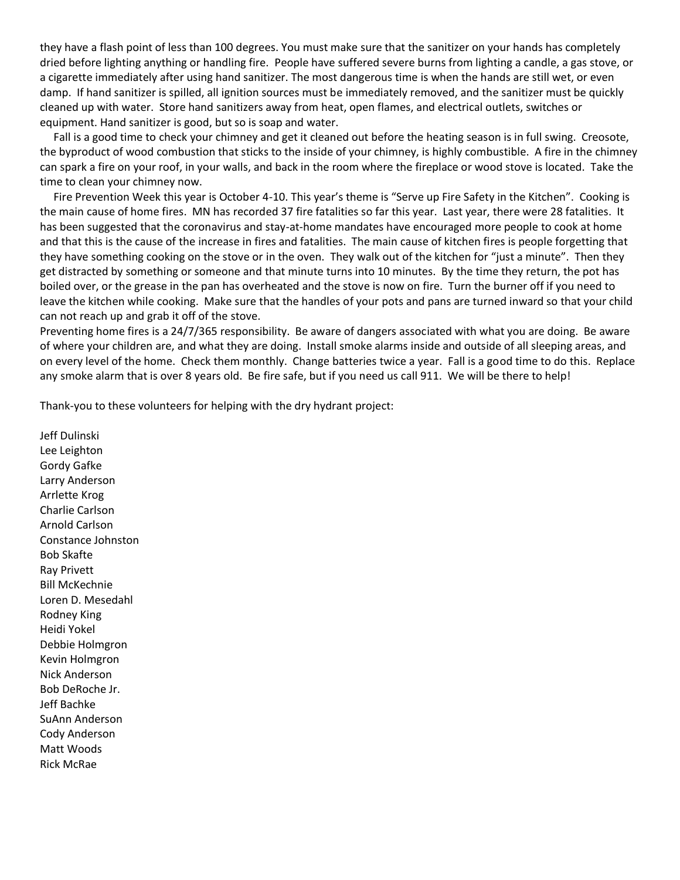they have a flash point of less than 100 degrees. You must make sure that the sanitizer on your hands has completely dried before lighting anything or handling fire. People have suffered severe burns from lighting a candle, a gas stove, or a cigarette immediately after using hand sanitizer. The most dangerous time is when the hands are still wet, or even damp. If hand sanitizer is spilled, all ignition sources must be immediately removed, and the sanitizer must be quickly cleaned up with water. Store hand sanitizers away from heat, open flames, and electrical outlets, switches or equipment. Hand sanitizer is good, but so is soap and water.

 Fall is a good time to check your chimney and get it cleaned out before the heating season is in full swing. Creosote, the byproduct of wood combustion that sticks to the inside of your chimney, is highly combustible. A fire in the chimney can spark a fire on your roof, in your walls, and back in the room where the fireplace or wood stove is located. Take the time to clean your chimney now.

 Fire Prevention Week this year is October 4-10. This year's theme is "Serve up Fire Safety in the Kitchen". Cooking is the main cause of home fires. MN has recorded 37 fire fatalities so far this year. Last year, there were 28 fatalities. It has been suggested that the coronavirus and stay-at-home mandates have encouraged more people to cook at home and that this is the cause of the increase in fires and fatalities. The main cause of kitchen fires is people forgetting that they have something cooking on the stove or in the oven. They walk out of the kitchen for "just a minute". Then they get distracted by something or someone and that minute turns into 10 minutes. By the time they return, the pot has boiled over, or the grease in the pan has overheated and the stove is now on fire. Turn the burner off if you need to leave the kitchen while cooking. Make sure that the handles of your pots and pans are turned inward so that your child can not reach up and grab it off of the stove.

Preventing home fires is a 24/7/365 responsibility. Be aware of dangers associated with what you are doing. Be aware of where your children are, and what they are doing. Install smoke alarms inside and outside of all sleeping areas, and on every level of the home. Check them monthly. Change batteries twice a year. Fall is a good time to do this. Replace any smoke alarm that is over 8 years old. Be fire safe, but if you need us call 911. We will be there to help!

Thank-you to these volunteers for helping with the dry hydrant project:

Jeff Dulinski Lee Leighton Gordy Gafke Larry Anderson Arrlette Krog Charlie Carlson Arnold Carlson Constance Johnston Bob Skafte Ray Privett Bill McKechnie Loren D. Mesedahl Rodney King Heidi Yokel Debbie Holmgron Kevin Holmgron Nick Anderson Bob DeRoche Jr. Jeff Bachke SuAnn Anderson Cody Anderson Matt Woods Rick McRae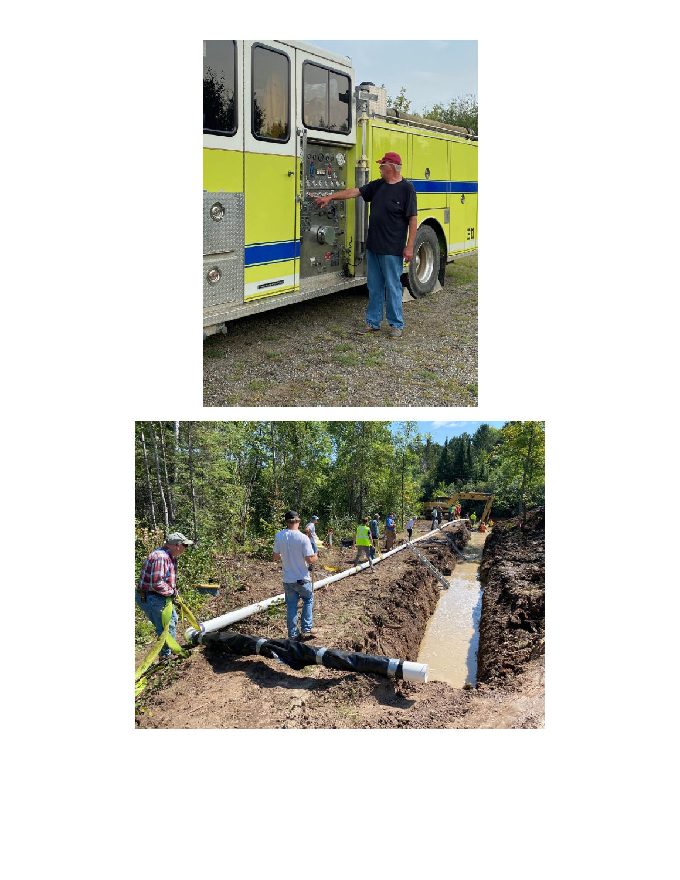